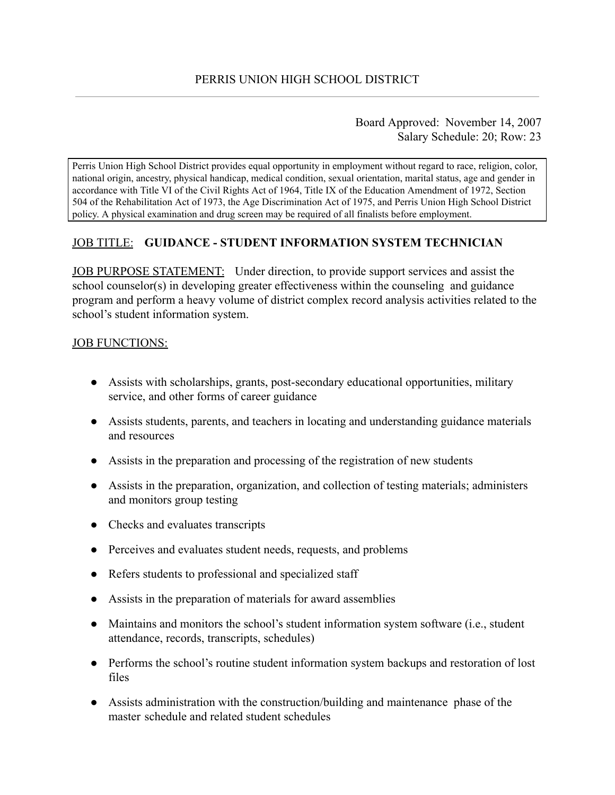## Board Approved: November 14, 2007 Salary Schedule: 20; Row: 23

Perris Union High School District provides equal opportunity in employment without regard to race, religion, color, national origin, ancestry, physical handicap, medical condition, sexual orientation, marital status, age and gender in accordance with Title VI of the Civil Rights Act of 1964, Title IX of the Education Amendment of 1972, Section 504 of the Rehabilitation Act of 1973, the Age Discrimination Act of 1975, and Perris Union High School District policy. A physical examination and drug screen may be required of all finalists before employment.

## JOB TITLE: **GUIDANCE - STUDENT INFORMATION SYSTEM TECHNICIAN**

JOB PURPOSE STATEMENT: Under direction, to provide support services and assist the school counselor(s) in developing greater effectiveness within the counseling and guidance program and perform a heavy volume of district complex record analysis activities related to the school's student information system.

## JOB FUNCTIONS:

- Assists with scholarships, grants, post-secondary educational opportunities, military service, and other forms of career guidance
- Assists students, parents, and teachers in locating and understanding guidance materials and resources
- Assists in the preparation and processing of the registration of new students
- Assists in the preparation, organization, and collection of testing materials; administers and monitors group testing
- Checks and evaluates transcripts
- Perceives and evaluates student needs, requests, and problems
- Refers students to professional and specialized staff
- Assists in the preparation of materials for award assemblies
- Maintains and monitors the school's student information system software (i.e., student attendance, records, transcripts, schedules)
- Performs the school's routine student information system backups and restoration of lost files
- Assists administration with the construction/building and maintenance phase of the master schedule and related student schedules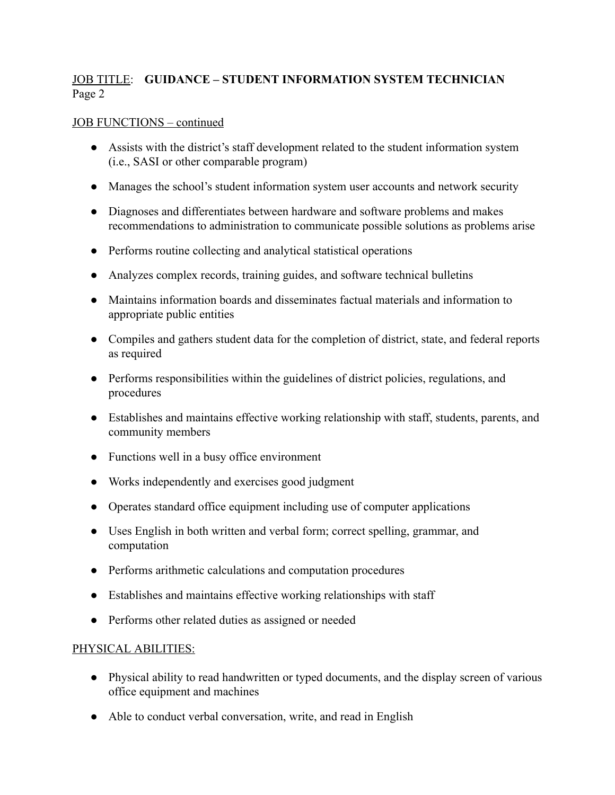# JOB TITLE : **GUIDANCE – STUDENT INFORMATION SYSTEM TECHNICIAN** Page 2

### JOB FUNCTIONS – continued

- Assists with the district's staff development related to the student information system (i.e., SASI or other comparable program)
- Manages the school's student information system user accounts and network security
- Diagnoses and differentiates between hardware and software problems and makes recommendations to administration to communicate possible solutions as problems arise
- Performs routine collecting and analytical statistical operations
- Analyzes complex records, training guides, and software technical bulletins
- Maintains information boards and disseminates factual materials and information to appropriate public entities
- Compiles and gathers student data for the completion of district, state, and federal reports as required
- Performs responsibilities within the guidelines of district policies, regulations, and procedures
- Establishes and maintains effective working relationship with staff, students, parents, and community members
- Functions well in a busy office environment
- Works independently and exercises good judgment
- Operates standard office equipment including use of computer applications
- Uses English in both written and verbal form; correct spelling, grammar, and computation
- Performs arithmetic calculations and computation procedures
- Establishes and maintains effective working relationships with staff
- Performs other related duties as assigned or needed

#### PHYSICAL ABILITIES:

- Physical ability to read handwritten or typed documents, and the display screen of various office equipment and machines
- Able to conduct verbal conversation, write, and read in English